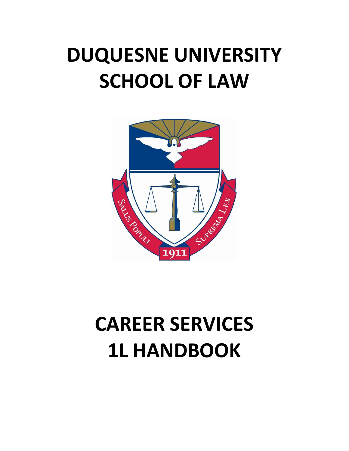# **DUQUESNE UNIVERSITY SCHOOL OF LAW**



# **CAREER SERVICES 1L HANDBOOK**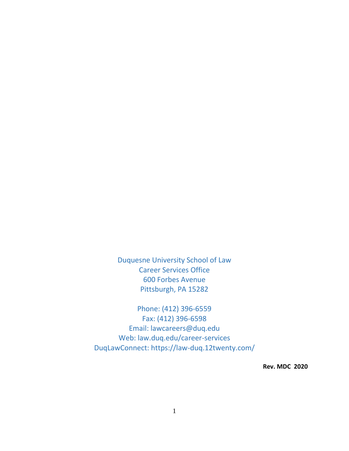Duquesne University School of Law Career Services Office 600 Forbes Avenue Pittsburgh, PA 15282

Phone: (412) 396-6559 Fax: (412) 396-6598 Email: lawcareers@duq.edu Web: law.duq.edu/career-services DuqLawConnect: https://law-duq.12twenty.com/

**Rev. MDC 2020**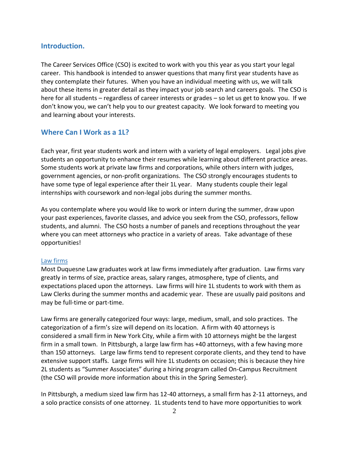# **Introduction.**

The Career Services Office (CSO) is excited to work with you this year as you start your legal career. This handbook is intended to answer questions that many first year students have as they contemplate their futures. When you have an individual meeting with us, we will talk about these items in greater detail as they impact your job search and careers goals. The CSO is here for all students – regardless of career interests or grades – so let us get to know you. If we don't know you, we can't help you to our greatest capacity. We look forward to meeting you and learning about your interests.

# **Where Can I Work as a 1L?**

Each year, first year students work and intern with a variety of legal employers. Legal jobs give students an opportunity to enhance their resumes while learning about different practice areas. Some students work at private law firms and corporations, while others intern with judges, government agencies, or non-profit organizations. The CSO strongly encourages students to have some type of legal experience after their 1L year. Many students couple their legal internships with coursework and non-legal jobs during the summer months.

As you contemplate where you would like to work or intern during the summer, draw upon your past experiences, favorite classes, and advice you seek from the CSO, professors, fellow students, and alumni. The CSO hosts a number of panels and receptions throughout the year where you can meet attorneys who practice in a variety of areas. Take advantage of these opportunities!

#### Law firms

Most Duquesne Law graduates work at law firms immediately after graduation. Law firms vary greatly in terms of size, practice areas, salary ranges, atmosphere, type of clients, and expectations placed upon the attorneys. Law firms will hire 1L students to work with them as Law Clerks during the summer months and academic year. These are usually paid positons and may be full-time or part-time.

Law firms are generally categorized four ways: large, medium, small, and solo practices. The categorization of a firm's size will depend on its location. A firm with 40 attorneys is considered a small firm in New York City, while a firm with 10 attorneys might be the largest firm in a small town. In Pittsburgh, a large law firm has +40 attorneys, with a few having more than 150 attorneys. Large law firms tend to represent corporate clients, and they tend to have extensive support staffs. Large firms will hire 1L students on occasion; this is because they hire 2L students as "Summer Associates" during a hiring program called On-Campus Recruitment (the CSO will provide more information about this in the Spring Semester).

In Pittsburgh, a medium sized law firm has 12-40 attorneys, a small firm has 2-11 attorneys, and a solo practice consists of one attorney. 1L students tend to have more opportunities to work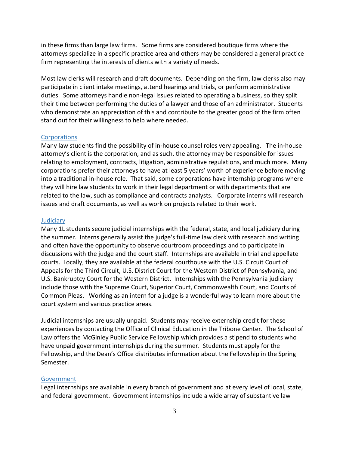in these firms than large law firms. Some firms are considered boutique firms where the attorneys specialize in a specific practice area and others may be considered a general practice firm representing the interests of clients with a variety of needs.

Most law clerks will research and draft documents. Depending on the firm, law clerks also may participate in client intake meetings, attend hearings and trials, or perform administrative duties. Some attorneys handle non-legal issues related to operating a business, so they split their time between performing the duties of a lawyer and those of an administrator. Students who demonstrate an appreciation of this and contribute to the greater good of the firm often stand out for their willingness to help where needed.

#### **Corporations**

Many law students find the possibility of in-house counsel roles very appealing. The in-house attorney's client is the corporation, and as such, the attorney may be responsible for issues relating to employment, contracts, litigation, administrative regulations, and much more. Many corporations prefer their attorneys to have at least 5 years' worth of experience before moving into a traditional in-house role. That said, some corporations have internship programs where they will hire law students to work in their legal department or with departments that are related to the law, such as compliance and contracts analysts. Corporate interns will research issues and draft documents, as well as work on projects related to their work.

#### **Judiciary**

Many 1L students secure judicial internships with the federal, state, and local judiciary during the summer. Interns generally assist the judge's full-time law clerk with research and writing and often have the opportunity to observe courtroom proceedings and to participate in discussions with the judge and the court staff. Internships are available in trial and appellate courts. Locally, they are available at the federal courthouse with the U.S. Circuit Court of Appeals for the Third Circuit, U.S. District Court for the Western District of Pennsylvania, and U.S. Bankruptcy Court for the Western District. Internships with the Pennsylvania judiciary include those with the Supreme Court, Superior Court, Commonwealth Court, and Courts of Common Pleas. Working as an intern for a judge is a wonderful way to learn more about the court system and various practice areas.

Judicial internships are usually unpaid. Students may receive externship credit for these experiences by contacting the Office of Clinical Education in the Tribone Center. The School of Law offers the McGinley Public Service Fellowship which provides a stipend to students who have unpaid government internships during the summer. Students must apply for the Fellowship, and the Dean's Office distributes information about the Fellowship in the Spring Semester.

#### Government

Legal internships are available in every branch of government and at every level of local, state, and federal government. Government internships include a wide array of substantive law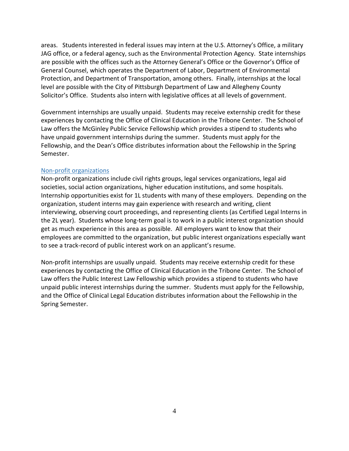areas. Students interested in federal issues may intern at the U.S. Attorney's Office, a military JAG office, or a federal agency, such as the Environmental Protection Agency. State internships are possible with the offices such as the Attorney General's Office or the Governor's Office of General Counsel, which operates the Department of Labor, Department of Environmental Protection, and Department of Transportation, among others. Finally, internships at the local level are possible with the City of Pittsburgh Department of Law and Allegheny County Solicitor's Office. Students also intern with legislative offices at all levels of government.

Government internships are usually unpaid. Students may receive externship credit for these experiences by contacting the Office of Clinical Education in the Tribone Center. The School of Law offers the McGinley Public Service Fellowship which provides a stipend to students who have unpaid government internships during the summer. Students must apply for the Fellowship, and the Dean's Office distributes information about the Fellowship in the Spring Semester.

#### Non-profit organizations

Non-profit organizations include civil rights groups, legal services organizations, legal aid societies, social action organizations, higher education institutions, and some hospitals. Internship opportunities exist for 1L students with many of these employers. Depending on the organization, student interns may gain experience with research and writing, client interviewing, observing court proceedings, and representing clients (as Certified Legal Interns in the 2L year). Students whose long-term goal is to work in a public interest organization should get as much experience in this area as possible. All employers want to know that their employees are committed to the organization, but public interest organizations especially want to see a track-record of public interest work on an applicant's resume.

Non-profit internships are usually unpaid. Students may receive externship credit for these experiences by contacting the Office of Clinical Education in the Tribone Center. The School of Law offers the Public Interest Law Fellowship which provides a stipend to students who have unpaid public interest internships during the summer. Students must apply for the Fellowship, and the Office of Clinical Legal Education distributes information about the Fellowship in the Spring Semester.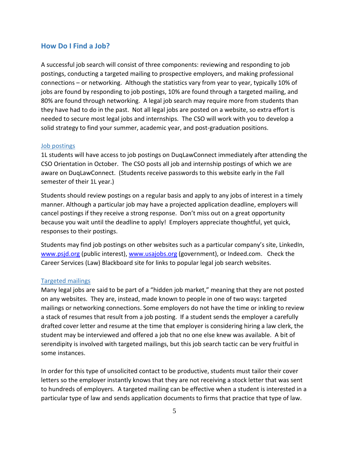# **How Do I Find a Job?**

A successful job search will consist of three components: reviewing and responding to job postings, conducting a targeted mailing to prospective employers, and making professional connections – or networking. Although the statistics vary from year to year, typically 10% of jobs are found by responding to job postings, 10% are found through a targeted mailing, and 80% are found through networking. A legal job search may require more from students than they have had to do in the past. Not all legal jobs are posted on a website, so extra effort is needed to secure most legal jobs and internships. The CSO will work with you to develop a solid strategy to find your summer, academic year, and post-graduation positions.

#### Job postings

1L students will have access to job postings on DuqLawConnect immediately after attending the CSO Orientation in October. The CSO posts all job and internship postings of which we are aware on DuqLawConnect. (Students receive passwords to this website early in the Fall semester of their 1L year.)

Students should review postings on a regular basis and apply to any jobs of interest in a timely manner. Although a particular job may have a projected application deadline, employers will cancel postings if they receive a strong response. Don't miss out on a great opportunity because you wait until the deadline to apply! Employers appreciate thoughtful, yet quick, responses to their postings.

Students may find job postings on other websites such as a particular company's site, LinkedIn, [www.psjd.org](http://www.psjd.org/) (public interest), [www.usajobs.org](http://www.usajobs.org/) (government), or Indeed.com. Check the Career Services (Law) Blackboard site for links to popular legal job search websites.

#### Targeted mailings

Many legal jobs are said to be part of a "hidden job market," meaning that they are not posted on any websites. They are, instead, made known to people in one of two ways: targeted mailings or networking connections. Some employers do not have the time or inkling to review a stack of resumes that result from a job posting. If a student sends the employer a carefully drafted cover letter and resume at the time that employer is considering hiring a law clerk, the student may be interviewed and offered a job that no one else knew was available. A bit of serendipity is involved with targeted mailings, but this job search tactic can be very fruitful in some instances.

In order for this type of unsolicited contact to be productive, students must tailor their cover letters so the employer instantly knows that they are not receiving a stock letter that was sent to hundreds of employers. A targeted mailing can be effective when a student is interested in a particular type of law and sends application documents to firms that practice that type of law.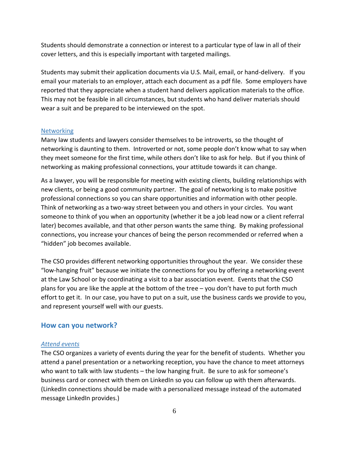Students should demonstrate a connection or interest to a particular type of law in all of their cover letters, and this is especially important with targeted mailings.

Students may submit their application documents via U.S. Mail, email, or hand-delivery. If you email your materials to an employer, attach each document as a pdf file. Some employers have reported that they appreciate when a student hand delivers application materials to the office. This may not be feasible in all circumstances, but students who hand deliver materials should wear a suit and be prepared to be interviewed on the spot.

#### **Networking**

Many law students and lawyers consider themselves to be introverts, so the thought of networking is daunting to them. Introverted or not, some people don't know what to say when they meet someone for the first time, while others don't like to ask for help. But if you think of networking as making professional connections, your attitude towards it can change.

As a lawyer, you will be responsible for meeting with existing clients, building relationships with new clients, or being a good community partner. The goal of networking is to make positive professional connections so you can share opportunities and information with other people. Think of networking as a two-way street between you and others in your circles. You want someone to think of you when an opportunity (whether it be a job lead now or a client referral later) becomes available, and that other person wants the same thing. By making professional connections, you increase your chances of being the person recommended or referred when a "hidden" job becomes available.

The CSO provides different networking opportunities throughout the year. We consider these "low-hanging fruit" because we initiate the connections for you by offering a networking event at the Law School or by coordinating a visit to a bar association event. Events that the CSO plans for you are like the apple at the bottom of the tree – you don't have to put forth much effort to get it. In our case, you have to put on a suit, use the business cards we provide to you, and represent yourself well with our guests.

# **How can you network?**

#### *Attend events*

The CSO organizes a variety of events during the year for the benefit of students. Whether you attend a panel presentation or a networking reception, you have the chance to meet attorneys who want to talk with law students – the low hanging fruit. Be sure to ask for someone's business card or connect with them on LinkedIn so you can follow up with them afterwards. (LinkedIn connections should be made with a personalized message instead of the automated message LinkedIn provides.)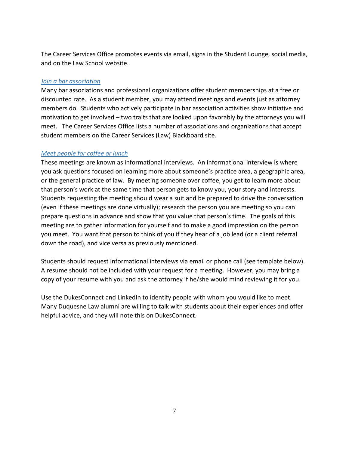The Career Services Office promotes events via email, signs in the Student Lounge, social media, and on the Law School website.

# *Join a bar association*

Many bar associations and professional organizations offer student memberships at a free or discounted rate. As a student member, you may attend meetings and events just as attorney members do. Students who actively participate in bar association activities show initiative and motivation to get involved – two traits that are looked upon favorably by the attorneys you will meet. The Career Services Office lists a number of associations and organizations that accept student members on the Career Services (Law) Blackboard site.

# *Meet people for coffee or lunch*

These meetings are known as informational interviews. An informational interview is where you ask questions focused on learning more about someone's practice area, a geographic area, or the general practice of law. By meeting someone over coffee, you get to learn more about that person's work at the same time that person gets to know you, your story and interests. Students requesting the meeting should wear a suit and be prepared to drive the conversation (even if these meetings are done virtually); research the person you are meeting so you can prepare questions in advance and show that you value that person's time. The goals of this meeting are to gather information for yourself and to make a good impression on the person you meet. You want that person to think of you if they hear of a job lead (or a client referral down the road), and vice versa as previously mentioned.

Students should request informational interviews via email or phone call (see template below). A resume should not be included with your request for a meeting. However, you may bring a copy of your resume with you and ask the attorney if he/she would mind reviewing it for you.

Use the DukesConnect and LinkedIn to identify people with whom you would like to meet. Many Duquesne Law alumni are willing to talk with students about their experiences and offer helpful advice, and they will note this on DukesConnect.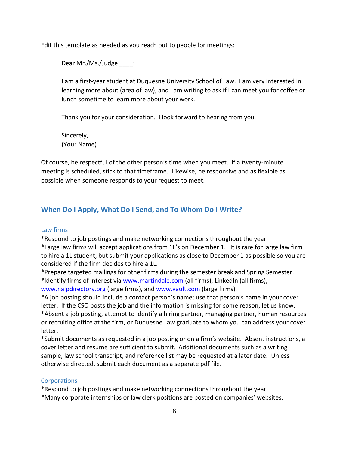Edit this template as needed as you reach out to people for meetings:

Dear Mr./Ms./Judge :

I am a first-year student at Duquesne University School of Law. I am very interested in learning more about (area of law), and I am writing to ask if I can meet you for coffee or lunch sometime to learn more about your work.

Thank you for your consideration. I look forward to hearing from you.

Sincerely, (Your Name)

Of course, be respectful of the other person's time when you meet. If a twenty-minute meeting is scheduled, stick to that timeframe. Likewise, be responsive and as flexible as possible when someone responds to your request to meet.

# **When Do I Apply, What Do I Send, and To Whom Do I Write?**

#### Law firms

\*Respond to job postings and make networking connections throughout the year.

\*Large law firms will accept applications from 1L's on December 1. It is rare for large law firm to hire a 1L student, but submit your applications as close to December 1 as possible so you are considered if the firm decides to hire a 1L.

\*Prepare targeted mailings for other firms during the semester break and Spring Semester. \*Identify firms of interest vi[a www.martindale.com](http://www.martindale.com/) (all firms), LinkedIn (all firms), [www.nalpdirectory.org](http://www.nalpdirectory.org/) (large firms), and [www.vault.com](http://www.vault.com/) (large firms).

\*A job posting should include a contact person's name; use that person's name in your cover letter. If the CSO posts the job and the information is missing for some reason, let us know. \*Absent a job posting, attempt to identify a hiring partner, managing partner, human resources or recruiting office at the firm, or Duquesne Law graduate to whom you can address your cover letter.

\*Submit documents as requested in a job posting or on a firm's website. Absent instructions, a cover letter and resume are sufficient to submit. Additional documents such as a writing sample, law school transcript, and reference list may be requested at a later date. Unless otherwise directed, submit each document as a separate pdf file.

# **Corporations**

\*Respond to job postings and make networking connections throughout the year.

\*Many corporate internships or law clerk positions are posted on companies' websites.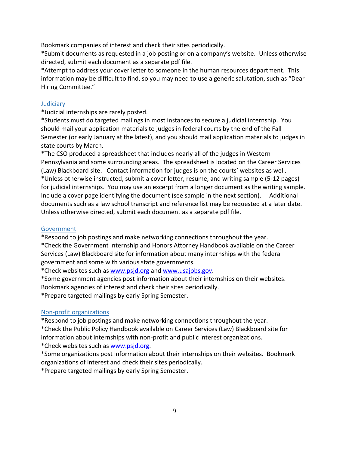Bookmark companies of interest and check their sites periodically.

\*Submit documents as requested in a job posting or on a company's website. Unless otherwise directed, submit each document as a separate pdf file.

\*Attempt to address your cover letter to someone in the human resources department. This information may be difficult to find, so you may need to use a generic salutation, such as "Dear Hiring Committee."

## **Judiciary**

\*Judicial internships are rarely posted.

\*Students must do targeted mailings in most instances to secure a judicial internship. You should mail your application materials to judges in federal courts by the end of the Fall Semester (or early January at the latest), and you should mail application materials to judges in state courts by March.

\*The CSO produced a spreadsheet that includes nearly all of the judges in Western Pennsylvania and some surrounding areas. The spreadsheet is located on the Career Services (Law) Blackboard site. Contact information for judges is on the courts' websites as well. \*Unless otherwise instructed, submit a cover letter, resume, and writing sample (5-12 pages) for judicial internships. You may use an excerpt from a longer document as the writing sample. Include a cover page identifying the document (see sample in the next section). Additional documents such as a law school transcript and reference list may be requested at a later date. Unless otherwise directed, submit each document as a separate pdf file.

## **Government**

\*Respond to job postings and make networking connections throughout the year.

\*Check the Government Internship and Honors Attorney Handbook available on the Career Services (Law) Blackboard site for information about many internships with the federal government and some with various state governments.

\*Check websites such as [www.psjd.org](http://www.psjd.org/) an[d www.usajobs.gov.](http://www.usajobs.gov/)

\*Some government agencies post information about their internships on their websites.

Bookmark agencies of interest and check their sites periodically.

\*Prepare targeted mailings by early Spring Semester.

# Non-profit organizations

\*Respond to job postings and make networking connections throughout the year.

\*Check the Public Policy Handbook available on Career Services (Law) Blackboard site for information about internships with non-profit and public interest organizations.

\*Check websites such as [www.psjd.org.](http://www.psjd.org/)

\*Some organizations post information about their internships on their websites. Bookmark organizations of interest and check their sites periodically.

\*Prepare targeted mailings by early Spring Semester.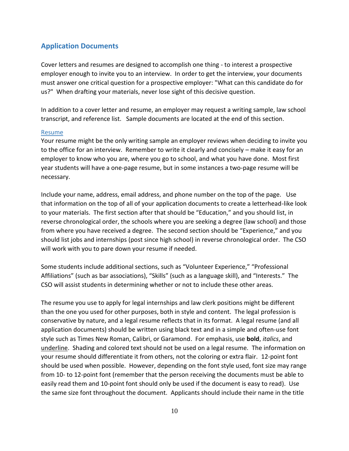# **Application Documents**

Cover letters and resumes are designed to accomplish one thing - to interest a prospective employer enough to invite you to an interview. In order to get the interview, your documents must answer one critical question for a prospective employer: "What can this candidate do for us?" When drafting your materials, never lose sight of this decisive question.

In addition to a cover letter and resume, an employer may request a writing sample, law school transcript, and reference list. Sample documents are located at the end of this section.

#### Resume

Your resume might be the only writing sample an employer reviews when deciding to invite you to the office for an interview. Remember to write it clearly and concisely – make it easy for an employer to know who you are, where you go to school, and what you have done. Most first year students will have a one-page resume, but in some instances a two-page resume will be necessary.

Include your name, address, email address, and phone number on the top of the page. Use that information on the top of all of your application documents to create a letterhead-like look to your materials. The first section after that should be "Education," and you should list, in reverse chronological order, the schools where you are seeking a degree (law school) and those from where you have received a degree. The second section should be "Experience," and you should list jobs and internships (post since high school) in reverse chronological order. The CSO will work with you to pare down your resume if needed.

Some students include additional sections, such as "Volunteer Experience," "Professional Affiliations" (such as bar associations), "Skills" (such as a language skill), and "Interests." The CSO will assist students in determining whether or not to include these other areas.

The resume you use to apply for legal internships and law clerk positions might be different than the one you used for other purposes, both in style and content. The legal profession is conservative by nature, and a legal resume reflects that in its format. A legal resume (and all application documents) should be written using black text and in a simple and often-use font style such as Times New Roman, Calibri, or Garamond. For emphasis, use **bold**, *italics*, and underline. Shading and colored text should not be used on a legal resume. The information on your resume should differentiate it from others, not the coloring or extra flair. 12-point font should be used when possible. However, depending on the font style used, font size may range from 10- to 12-point font (remember that the person receiving the documents must be able to easily read them and 10-point font should only be used if the document is easy to read). Use the same size font throughout the document. Applicants should include their name in the title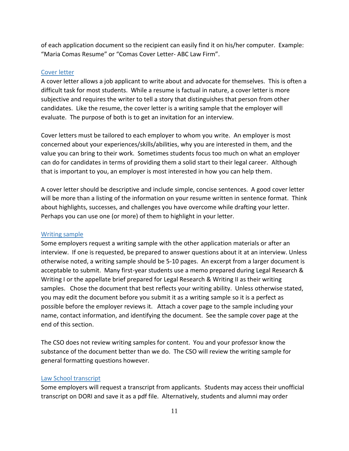of each application document so the recipient can easily find it on his/her computer. Example: "Maria Comas Resume" or "Comas Cover Letter- ABC Law Firm".

#### Cover letter

A cover letter allows a job applicant to write about and advocate for themselves. This is often a difficult task for most students. While a resume is factual in nature, a cover letter is more subjective and requires the writer to tell a story that distinguishes that person from other candidates. Like the resume, the cover letter is a writing sample that the employer will evaluate. The purpose of both is to get an invitation for an interview.

Cover letters must be tailored to each employer to whom you write. An employer is most concerned about your experiences/skills/abilities, why you are interested in them, and the value you can bring to their work. Sometimes students focus too much on what an employer can do for candidates in terms of providing them a solid start to their legal career. Although that is important to you, an employer is most interested in how you can help them.

A cover letter should be descriptive and include simple, concise sentences. A good cover letter will be more than a listing of the information on your resume written in sentence format. Think about highlights, successes, and challenges you have overcome while drafting your letter. Perhaps you can use one (or more) of them to highlight in your letter.

#### Writing sample

Some employers request a writing sample with the other application materials or after an interview. If one is requested, be prepared to answer questions about it at an interview. Unless otherwise noted, a writing sample should be 5-10 pages. An excerpt from a larger document is acceptable to submit. Many first-year students use a memo prepared during Legal Research & Writing I or the appellate brief prepared for Legal Research & Writing II as their writing samples. Chose the document that best reflects your writing ability. Unless otherwise stated, you may edit the document before you submit it as a writing sample so it is a perfect as possible before the employer reviews it. Attach a cover page to the sample including your name, contact information, and identifying the document. See the sample cover page at the end of this section.

The CSO does not review writing samples for content. You and your professor know the substance of the document better than we do. The CSO will review the writing sample for general formatting questions however.

#### Law School transcript

Some employers will request a transcript from applicants. Students may access their unofficial transcript on DORI and save it as a pdf file. Alternatively, students and alumni may order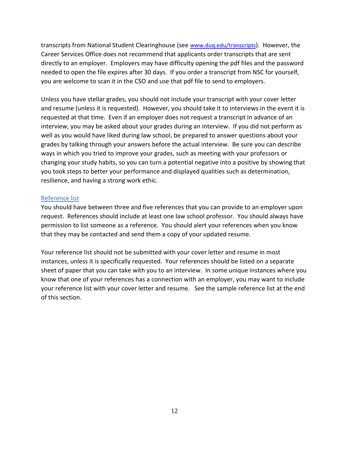transcripts from National Student Clearinghouse (see [www.duq.edu/transcripts](http://www.duq.edu/transcripts)). However, the Career Services Office does not recommend that applicants order transcripts that are sent directly to an employer. Employers may have difficulty opening the pdf files and the password needed to open the file expires after 30 days. If you order a transcript from NSC for yourself, you are welcome to scan it in the CSO and use that pdf file to send to employers.

Unless you have stellar grades, you should not include your transcript with your cover letter and resume (unless it is requested). However, you should take it to interviews in the event it is requested at that time. Even if an employer does not request a transcript in advance of an interview, you may be asked about your grades during an interview. If you did not perform as well as you would have liked during law school, be prepared to answer questions about your grades by talking through your answers before the actual interview. Be sure you can describe ways in which you tried to improve your grades, such as meeting with your professors or changing your study habits, so you can turn a potential negative into a positive by showing that you took steps to better your performance and displayed qualities such as determination, resilience, and having a strong work ethic.

#### Reference list

You should have between three and five references that you can provide to an employer upon request. References should include at least one law school professor. You should always have permission to list someone as a reference. You should alert your references when you know that they may be contacted and send them a copy of your updated resume.

Your reference list should not be submitted with your cover letter and resume in most instances, unless it is specifically requested. Your references should be listed on a separate sheet of paper that you can take with you to an interview. In some unique instances where you know that one of your references has a connection with an employer, you may want to include your reference list with your cover letter and resume. See the sample reference list at the end of this section.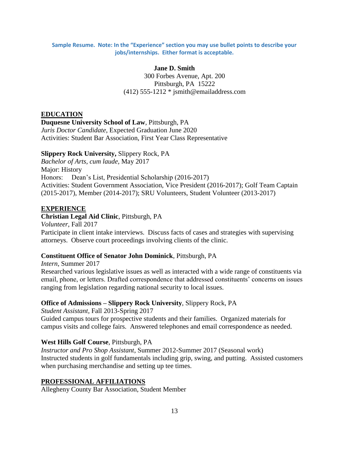#### **Sample Resume. Note: In the "Experience" section you may use bullet points to describe your jobs/internships. Either format is acceptable.**

#### **Jane D. Smith**

300 Forbes Avenue, Apt. 200 Pittsburgh, PA 15222  $(412)$  555-1212  $*$  jsmith@emailaddress.com

#### **EDUCATION**

#### **Duquesne University School of Law**, Pittsburgh, PA

*Juris Doctor Candidate*, Expected Graduation June 2020 Activities: Student Bar Association, First Year Class Representative

#### **Slippery Rock University,** Slippery Rock, PA

*Bachelor of Arts*, *cum laude,* May 2017 Major: History Honors: Dean's List, Presidential Scholarship (2016-2017) Activities: Student Government Association, Vice President (2016-2017); Golf Team Captain (2015-2017), Member (2014-2017); SRU Volunteers, Student Volunteer (2013-2017)

#### **EXPERIENCE**

**Christian Legal Aid Clinic**, Pittsburgh, PA *Volunteer*, Fall 2017 Participate in client intake interviews. Discuss facts of cases and strategies with supervising attorneys. Observe court proceedings involving clients of the clinic.

#### **Constituent Office of Senator John Dominick**, Pittsburgh, PA

*Intern*, Summer 2017 Researched various legislative issues as well as interacted with a wide range of constituents via email, phone, or letters. Drafted correspondence that addressed constituents' concerns on issues ranging from legislation regarding national security to local issues.

# **Office of Admissions – Slippery Rock University**, Slippery Rock, PA

*Student Assistant*, Fall 2013-Spring 2017 Guided campus tours for prospective students and their families. Organized materials for campus visits and college fairs. Answered telephones and email correspondence as needed.

#### **West Hills Golf Course**, Pittsburgh, PA

*Instructor and Pro Shop Assistant*, Summer 2012-Summer 2017 (Seasonal work) Instructed students in golf fundamentals including grip, swing, and putting. Assisted customers when purchasing merchandise and setting up tee times.

#### **PROFESSIONAL AFFILIATIONS**

Allegheny County Bar Association, Student Member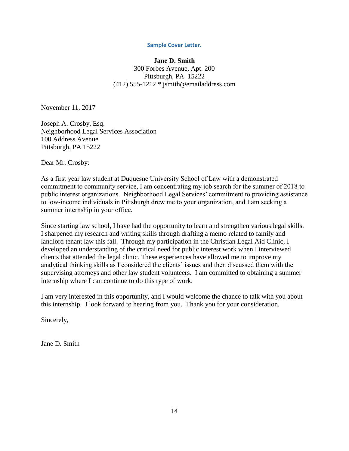#### **Sample Cover Letter.**

#### **Jane D. Smith**

300 Forbes Avenue, Apt. 200 Pittsburgh, PA 15222 (412) 555-1212 \* jsmith@emailaddress.com

November 11, 2017

Joseph A. Crosby, Esq. Neighborhood Legal Services Association 100 Address Avenue Pittsburgh, PA 15222

Dear Mr. Crosby:

As a first year law student at Duquesne University School of Law with a demonstrated commitment to community service, I am concentrating my job search for the summer of 2018 to public interest organizations. Neighborhood Legal Services' commitment to providing assistance to low-income individuals in Pittsburgh drew me to your organization, and I am seeking a summer internship in your office.

Since starting law school, I have had the opportunity to learn and strengthen various legal skills. I sharpened my research and writing skills through drafting a memo related to family and landlord tenant law this fall. Through my participation in the Christian Legal Aid Clinic, I developed an understanding of the critical need for public interest work when I interviewed clients that attended the legal clinic. These experiences have allowed me to improve my analytical thinking skills as I considered the clients' issues and then discussed them with the supervising attorneys and other law student volunteers. I am committed to obtaining a summer internship where I can continue to do this type of work.

I am very interested in this opportunity, and I would welcome the chance to talk with you about this internship. I look forward to hearing from you. Thank you for your consideration.

Sincerely,

Jane D. Smith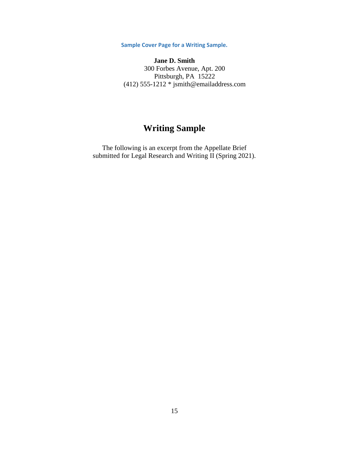**Sample Cover Page for a Writing Sample.**

**Jane D. Smith** 300 Forbes Avenue, Apt. 200 Pittsburgh, PA 15222 (412) 555-1212 \* jsmith@emailaddress.com

# **Writing Sample**

The following is an excerpt from the Appellate Brief submitted for Legal Research and Writing II (Spring 2021).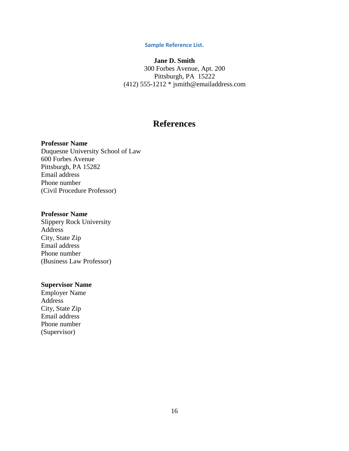#### **Sample Reference List.**

# **Jane D. Smith**

300 Forbes Avenue, Apt. 200 Pittsburgh, PA 15222 (412) 555-1212 \* jsmith@emailaddress.com

# **References**

#### **Professor Name**

Duquesne University School of Law 600 Forbes Avenue Pittsburgh, PA 15282 Email address Phone number (Civil Procedure Professor)

#### **Professor Name**

Slippery Rock University Address City, State Zip Email address Phone number (Business Law Professor)

#### **Supervisor Name**

Employer Name Address City, State Zip Email address Phone number (Supervisor)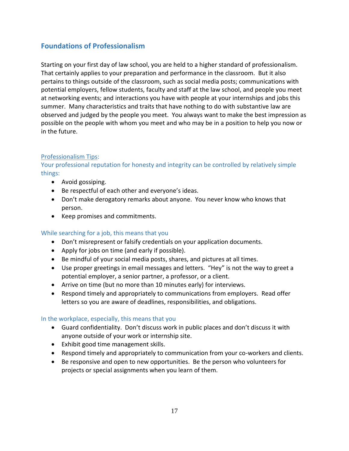# **Foundations of Professionalism**

Starting on your first day of law school, you are held to a higher standard of professionalism. That certainly applies to your preparation and performance in the classroom. But it also pertains to things outside of the classroom, such as social media posts; communications with potential employers, fellow students, faculty and staff at the law school, and people you meet at networking events; and interactions you have with people at your internships and jobs this summer. Many characteristics and traits that have nothing to do with substantive law are observed and judged by the people you meet. You always want to make the best impression as possible on the people with whom you meet and who may be in a position to help you now or in the future.

# Professionalism Tips:

# Your professional reputation for honesty and integrity can be controlled by relatively simple things:

- Avoid gossiping.
- Be respectful of each other and everyone's ideas.
- Don't make derogatory remarks about anyone. You never know who knows that person.
- Keep promises and commitments.

# While searching for a job, this means that you

- Don't misrepresent or falsify credentials on your application documents.
- Apply for jobs on time (and early if possible).
- Be mindful of your social media posts, shares, and pictures at all times.
- Use proper greetings in email messages and letters. "Hey" is not the way to greet a potential employer, a senior partner, a professor, or a client.
- Arrive on time (but no more than 10 minutes early) for interviews.
- Respond timely and appropriately to communications from employers. Read offer letters so you are aware of deadlines, responsibilities, and obligations.

# In the workplace, especially, this means that you

- Guard confidentiality. Don't discuss work in public places and don't discuss it with anyone outside of your work or internship site.
- Exhibit good time management skills.
- Respond timely and appropriately to communication from your co-workers and clients.
- Be responsive and open to new opportunities. Be the person who volunteers for projects or special assignments when you learn of them.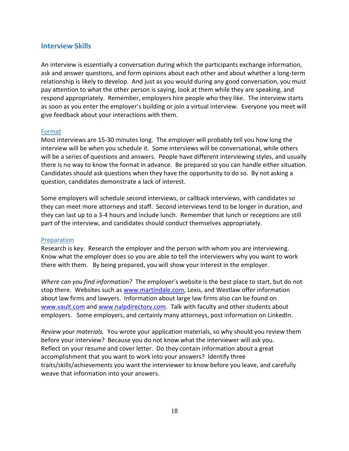# **Interview Skills**

An interview is essentially a conversation during which the participants exchange information, ask and answer questions, and form opinions about each other and about whether a long-term relationship is likely to develop. And just as you would during any good conversation, you must pay attention to what the other person is saying, look at them while they are speaking, and respond appropriately. Remember, employers hire people who they like. The interview starts as soon as you enter the employer's building or join a virtual interview. Everyone you meet will give feedback about your interactions with them.

#### Format

Most interviews are 15-30 minutes long. The employer will probably tell you how long the interview will be when you schedule it. Some interviews will be conversational, while others will be a series of questions and answers. People have different interviewing styles, and usually there is no way to know the format in advance. Be prepared so you can handle either situation. Candidates should ask questions when they have the opportunity to do so. By not asking a question, candidates demonstrate a lack of interest.

Some employers will schedule second interviews, or callback interviews, with candidates so they can meet more attorneys and staff. Second interviews tend to be longer in duration, and they can last up to a 3-4 hours and include lunch. Remember that lunch or receptions are still part of the interview, and candidates should conduct themselves appropriately.

#### Preparation

Research is key. Research the employer and the person with whom you are interviewing. Know what the employer does so you are able to tell the interviewers why you want to work there with them. By being prepared, you will show your interest in the employer.

*Where can you find information?* The employer's website is the best place to start, but do not stop there. Websites such as [www.martindale.com,](http://www.martindale.com/) Lexis, and Westlaw offer information about law firms and lawyers. Information about large law firms also can be found on [www.vault.com](http://www.vault.com/) and [www.nalpdirectory.com.](http://www.nalpdirectory.com/) Talk with faculty and other students about employers. Some employers, and certainly many attorneys, post information on LinkedIn.

*Review your materials.* You wrote your application materials, so why should you review them before your interview? Because you do not know what the interviewer will ask you. Reflect on your resume and cover letter. Do they contain information about a great accomplishment that you want to work into your answers? Identify three traits/skills/achievements you want the interviewer to know before you leave, and carefully weave that information into your answers.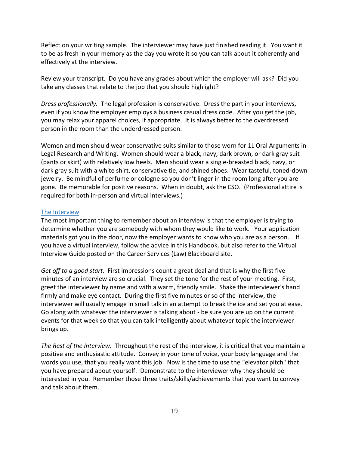Reflect on your writing sample. The interviewer may have just finished reading it. You want it to be as fresh in your memory as the day you wrote it so you can talk about it coherently and effectively at the interview.

Review your transcript. Do you have any grades about which the employer will ask? Did you take any classes that relate to the job that you should highlight?

*Dress professionally.* The legal profession is conservative. Dress the part in your interviews, even if you know the employer employs a business casual dress code. After you get the job, you may relax your apparel choices, if appropriate. It is always better to the overdressed person in the room than the underdressed person.

Women and men should wear conservative suits similar to those worn for 1L Oral Arguments in Legal Research and Writing. Women should wear a black, navy, dark brown, or dark gray suit (pants or skirt) with relatively low heels. Men should wear a single-breasted black, navy, or dark gray suit with a white shirt, conservative tie, and shined shoes. Wear tasteful, toned-down jewelry. Be mindful of perfume or cologne so you don't linger in the room long after you are gone. Be memorable for positive reasons. When in doubt, ask the CSO. (Professional attire is required for both in-person and virtual interviews.)

#### The Interview

The most important thing to remember about an interview is that the employer is trying to determine whether you are somebody with whom they would like to work. Your application materials got you in the door, now the employer wants to know who you are as a person. If you have a virtual interview, follow the advice in this Handbook, but also refer to the Virtual Interview Guide posted on the Career Services (Law) Blackboard site.

*Get off to a good start*. First impressions count a great deal and that is why the first five minutes of an interview are so crucial. They set the tone for the rest of your meeting. First, greet the interviewer by name and with a warm, friendly smile. Shake the interviewer's hand firmly and make eye contact. During the first five minutes or so of the interview, the interviewer will usually engage in small talk in an attempt to break the ice and set you at ease. Go along with whatever the interviewer is talking about - be sure you are up on the current events for that week so that you can talk intelligently about whatever topic the interviewer brings up.

*The Rest of the Interview*.Throughout the rest of the interview, it is critical that you maintain a positive and enthusiastic attitude. Convey in your tone of voice, your body language and the words you use, that you really want this job. Now is the time to use the "elevator pitch" that you have prepared about yourself. Demonstrate to the interviewer why they should be interested in you. Remember those three traits/skills/achievements that you want to convey and talk about them.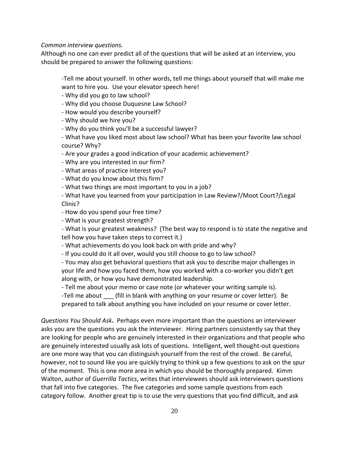*Common interview questions.*

Although no one can ever predict all of the questions that will be asked at an interview, you should be prepared to answer the following questions:

-Tell me about yourself. In other words, tell me things about yourself that will make me want to hire you. Use your elevator speech here!

- Why did you go to law school?

- Why did you choose Duquesne Law School?

- How would you describe yourself?

- Why should we hire you?

- Why do you think you'll be a successful lawyer?

- What have you liked most about law school? What has been your favorite law school course? Why?

- Are your grades a good indication of your academic achievement?

- Why are you interested in our firm?

- What areas of practice interest you?

- What do you know about this firm?

- What two things are most important to you in a job?

- What have you learned from your participation in Law Review?/Moot Court?/Legal Clinic?

- How do you spend your free time?

- What is your greatest strength?

- What is your greatest weakness? (The best way to respond is to state the negative and tell how you have taken steps to correct it.)

- What achievements do you look back on with pride and why?

- If you could do it all over, would you still choose to go to law school?

- You may also get behavioral questions that ask you to describe major challenges in your life and how you faced them, how you worked with a co-worker you didn't get along with, or how you have demonstrated leadership.

- Tell me about your memo or case note (or whatever your writing sample is).

-Tell me about \_\_\_ (fill in blank with anything on your resume or cover letter). Be prepared to talk about anything you have included on your resume or cover letter.

*Questions You Should Ask***.** Perhaps even more important than the questions an interviewer asks you are the questions you ask the interviewer. Hiring partners consistently say that they are looking for people who are genuinely interested in their organizations and that people who are genuinely interested usually ask lots of questions. Intelligent, well thought-out questions are one more way that you can distinguish yourself from the rest of the crowd. Be careful, however, not to sound like you are quickly trying to think up a few questions to ask on the spur of the moment. This is one more area in which you should be thoroughly prepared. Kimm Walton, author of *Guerrilla Tactics*, writes that interviewees should ask interviewers questions that fall into five categories. The five categories and some sample questions from each category follow. Another great tip is to use the very questions that you find difficult, and ask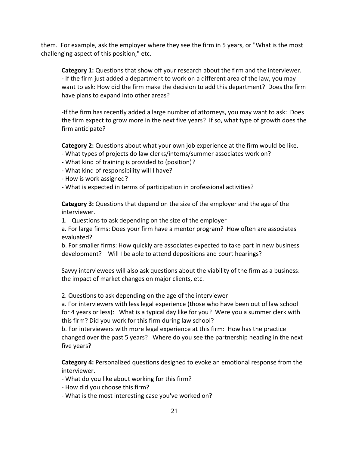them. For example, ask the employer where they see the firm in 5 years, or "What is the most challenging aspect of this position," etc.

**Category 1:** Questions that show off your research about the firm and the interviewer. - If the firm just added a department to work on a different area of the law, you may want to ask: How did the firm make the decision to add this department? Does the firm have plans to expand into other areas?

-If the firm has recently added a large number of attorneys, you may want to ask: Does the firm expect to grow more in the next five years? If so, what type of growth does the firm anticipate?

**Category 2:** Questions about what your own job experience at the firm would be like.

- What types of projects do law clerks/interns/summer associates work on?
- What kind of training is provided to (position)?
- What kind of responsibility will I have?
- How is work assigned?
- What is expected in terms of participation in professional activities?

**Category 3:** Questions that depend on the size of the employer and the age of the interviewer.

1. Questions to ask depending on the size of the employer

a. For large firms: Does your firm have a mentor program? How often are associates evaluated?

b. For smaller firms: How quickly are associates expected to take part in new business development? Will I be able to attend depositions and court hearings?

Savvy interviewees will also ask questions about the viability of the firm as a business: the impact of market changes on major clients, etc.

2. Questions to ask depending on the age of the interviewer

a. For interviewers with less legal experience (those who have been out of law school for 4 years or less): What is a typical day like for you? Were you a summer clerk with this firm? Did you work for this firm during law school?

b. For interviewers with more legal experience at this firm: How has the practice changed over the past 5 years? Where do you see the partnership heading in the next five years?

**Category 4:** Personalized questions designed to evoke an emotional response from the interviewer.

- What do you like about working for this firm?
- How did you choose this firm?
- What is the most interesting case you've worked on?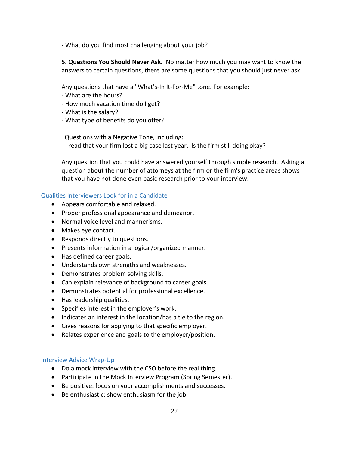- What do you find most challenging about your job?

**5. Questions You Should Never Ask.** No matter how much you may want to know the answers to certain questions, there are some questions that you should just never ask.

Any questions that have a "What's-In It-For-Me" tone. For example:

- What are the hours?
- How much vacation time do I get?
- What is the salary?
- What type of benefits do you offer?

Questions with a Negative Tone, including:

- I read that your firm lost a big case last year. Is the firm still doing okay?

Any question that you could have answered yourself through simple research. Asking a question about the number of attorneys at the firm or the firm's practice areas shows that you have not done even basic research prior to your interview.

#### Qualities Interviewers Look for in a Candidate

- Appears comfortable and relaxed.
- Proper professional appearance and demeanor.
- Normal voice level and mannerisms.
- Makes eye contact.
- Responds directly to questions.
- Presents information in a logical/organized manner.
- Has defined career goals.
- Understands own strengths and weaknesses.
- Demonstrates problem solving skills.
- Can explain relevance of background to career goals.
- Demonstrates potential for professional excellence.
- Has leadership qualities.
- Specifies interest in the employer's work.
- Indicates an interest in the location/has a tie to the region.
- Gives reasons for applying to that specific employer.
- Relates experience and goals to the employer/position.

#### Interview Advice Wrap-Up

- Do a mock interview with the CSO before the real thing.
- Participate in the Mock Interview Program (Spring Semester).
- Be positive: focus on your accomplishments and successes.
- Be enthusiastic: show enthusiasm for the job.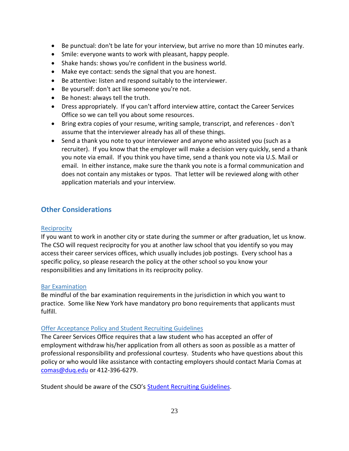- Be punctual: don't be late for your interview, but arrive no more than 10 minutes early.
- Smile: everyone wants to work with pleasant, happy people.
- Shake hands: shows you're confident in the business world.
- Make eye contact: sends the signal that you are honest.
- Be attentive: listen and respond suitably to the interviewer.
- Be yourself: don't act like someone you're not.
- Be honest: always tell the truth.
- Dress appropriately. If you can't afford interview attire, contact the Career Services Office so we can tell you about some resources.
- Bring extra copies of your resume, writing sample, transcript, and references don't assume that the interviewer already has all of these things.
- Send a thank you note to your interviewer and anyone who assisted you (such as a recruiter). If you know that the employer will make a decision very quickly, send a thank you note via email. If you think you have time, send a thank you note via U.S. Mail or email. In either instance, make sure the thank you note is a formal communication and does not contain any mistakes or typos. That letter will be reviewed along with other application materials and your interview.

# **Other Considerations**

# **Reciprocity**

If you want to work in another city or state during the summer or after graduation, let us know. The CSO will request reciprocity for you at another law school that you identify so you may access their career services offices, which usually includes job postings. Every school has a specific policy, so please research the policy at the other school so you know your responsibilities and any limitations in its reciprocity policy.

# Bar Examination

Be mindful of the bar examination requirements in the jurisdiction in which you want to practice. Some like New York have mandatory pro bono requirements that applicants must fulfill.

# Offer Acceptance Policy and Student Recruiting Guidelines

The Career Services Office requires that a law student who has accepted an offer of employment withdraw his/her application from all others as soon as possible as a matter of professional responsibility and professional courtesy. Students who have questions about this policy or who would like assistance with contacting employers should contact Maria Comas at [comas@duq.edu](mailto:comas@duq.edu) or 412-396-6279.

Student should be aware of the CSO's **Student Recruiting Guidelines**.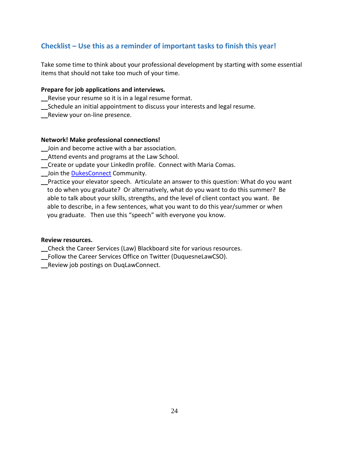# **Checklist – Use this as a reminder of important tasks to finish this year!**

Take some time to think about your professional development by starting with some essential items that should not take too much of your time.

# **Prepare for job applications and interviews.**

- **\_\_**Revise your resume so it is in a legal resume format.
- **\_\_**Schedule an initial appointment to discuss your interests and legal resume.
- **\_\_**Review your on-line presence.

#### **Network! Make professional connections!**

- **\_\_**Join and become active with a bar association.
- **\_\_**Attend events and programs at the Law School.
- **\_\_**Create or update your LinkedIn profile. Connect with Maria Comas.
- **\_\_**Join the [DukesConnect](http://www.dukesconnect.com/) Community.
- **\_\_**Practice your elevator speech. Articulate an answer to this question: What do you want to do when you graduate? Or alternatively, what do you want to do this summer? Be able to talk about your skills, strengths, and the level of client contact you want. Be able to describe, in a few sentences, what you want to do this year/summer or when you graduate. Then use this "speech" with everyone you know.

#### **Review resources.**

**\_\_**Check the Career Services (Law) Blackboard site for various resources.

- **\_\_**Follow the Career Services Office on Twitter (DuquesneLawCSO).
- **\_\_**Review job postings on DuqLawConnect.